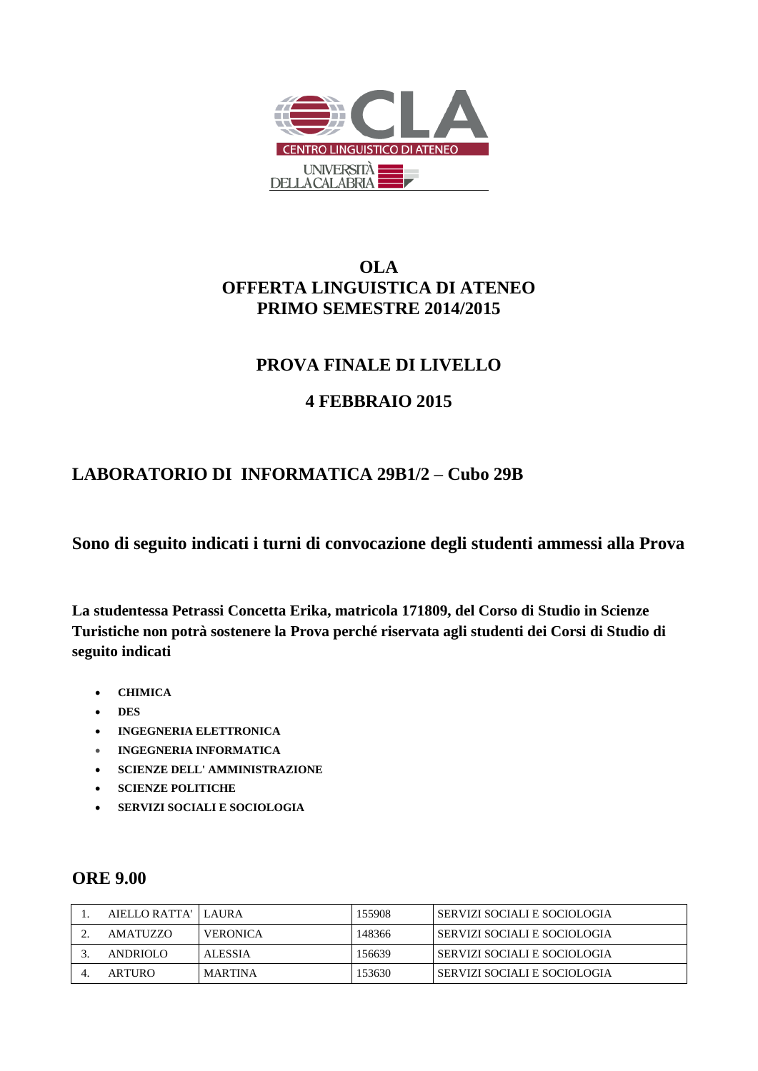

# **OLA OFFERTA LINGUISTICA DI ATENEO PRIMO SEMESTRE 2014/2015**

# **PROVA FINALE DI LIVELLO**

# **4 FEBBRAIO 2015**

### **LABORATORIO DI INFORMATICA 29B1/2 – Cubo 29B**

**Sono di seguito indicati i turni di convocazione degli studenti ammessi alla Prova**

**La studentessa Petrassi Concetta Erika, matricola 171809, del Corso di Studio in Scienze Turistiche non potrà sostenere la Prova perché riservata agli studenti dei Corsi di Studio di seguito indicati**

- **CHIMICA**
- **DES**
- **INGEGNERIA ELETTRONICA**
- **INGEGNERIA INFORMATICA**
- **SCIENZE DELL' AMMINISTRAZIONE**
- **SCIENZE POLITICHE**
- **SERVIZI SOCIALI E SOCIOLOGIA**

#### **ORE 9.00**

| AIELLO RATTA'   LAURA |                 | 155908 | SERVIZI SOCIALI E SOCIOLOGIA |
|-----------------------|-----------------|--------|------------------------------|
| AMATUZZO              | <b>VERONICA</b> | 148366 | SERVIZI SOCIALI E SOCIOLOGIA |
| ANDRIOLO              | <b>ALESSIA</b>  | 156639 | SERVIZI SOCIALI E SOCIOLOGIA |
| ARTURO                | <b>MARTINA</b>  | 153630 | SERVIZI SOCIALI E SOCIOLOGIA |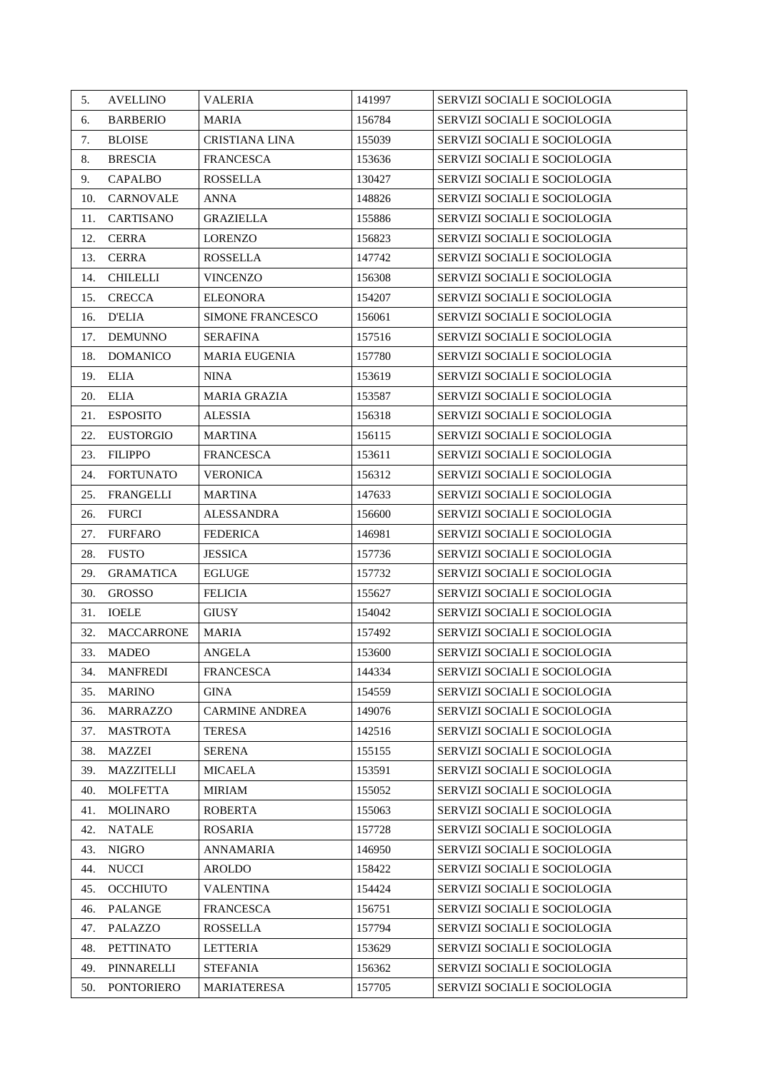| 5.  | <b>AVELLINO</b>   | VALERIA                 | 141997 | SERVIZI SOCIALI E SOCIOLOGIA |
|-----|-------------------|-------------------------|--------|------------------------------|
| 6.  | <b>BARBERIO</b>   | <b>MARIA</b>            | 156784 | SERVIZI SOCIALI E SOCIOLOGIA |
| 7.  | <b>BLOISE</b>     | <b>CRISTIANA LINA</b>   | 155039 | SERVIZI SOCIALI E SOCIOLOGIA |
| 8.  | <b>BRESCIA</b>    | FRANCESCA               | 153636 | SERVIZI SOCIALI E SOCIOLOGIA |
| 9.  | <b>CAPALBO</b>    | <b>ROSSELLA</b>         | 130427 | SERVIZI SOCIALI E SOCIOLOGIA |
| 10. | <b>CARNOVALE</b>  | ANNA                    | 148826 | SERVIZI SOCIALI E SOCIOLOGIA |
| 11. | <b>CARTISANO</b>  | <b>GRAZIELLA</b>        | 155886 | SERVIZI SOCIALI E SOCIOLOGIA |
| 12. | <b>CERRA</b>      | <b>LORENZO</b>          | 156823 | SERVIZI SOCIALI E SOCIOLOGIA |
| 13. | <b>CERRA</b>      | <b>ROSSELLA</b>         | 147742 | SERVIZI SOCIALI E SOCIOLOGIA |
| 14. | <b>CHILELLI</b>   | <b>VINCENZO</b>         | 156308 | SERVIZI SOCIALI E SOCIOLOGIA |
| 15. | <b>CRECCA</b>     | <b>ELEONORA</b>         | 154207 | SERVIZI SOCIALI E SOCIOLOGIA |
| 16. | <b>D'ELIA</b>     | <b>SIMONE FRANCESCO</b> | 156061 | SERVIZI SOCIALI E SOCIOLOGIA |
| 17. | <b>DEMUNNO</b>    | <b>SERAFINA</b>         | 157516 | SERVIZI SOCIALI E SOCIOLOGIA |
| 18. | <b>DOMANICO</b>   | <b>MARIA EUGENIA</b>    | 157780 | SERVIZI SOCIALI E SOCIOLOGIA |
| 19. | ELIA              | <b>NINA</b>             | 153619 | SERVIZI SOCIALI E SOCIOLOGIA |
| 20. | <b>ELIA</b>       | <b>MARIA GRAZIA</b>     | 153587 | SERVIZI SOCIALI E SOCIOLOGIA |
| 21. | <b>ESPOSITO</b>   | <b>ALESSIA</b>          | 156318 | SERVIZI SOCIALI E SOCIOLOGIA |
| 22. | <b>EUSTORGIO</b>  | MARTINA                 | 156115 | SERVIZI SOCIALI E SOCIOLOGIA |
| 23. | <b>FILIPPO</b>    | <b>FRANCESCA</b>        | 153611 | SERVIZI SOCIALI E SOCIOLOGIA |
| 24. | <b>FORTUNATO</b>  | <b>VERONICA</b>         | 156312 | SERVIZI SOCIALI E SOCIOLOGIA |
| 25. | FRANGELLI         | MARTINA                 | 147633 | SERVIZI SOCIALI E SOCIOLOGIA |
| 26. | <b>FURCI</b>      | <b>ALESSANDRA</b>       | 156600 | SERVIZI SOCIALI E SOCIOLOGIA |
| 27. | <b>FURFARO</b>    | <b>FEDERICA</b>         | 146981 | SERVIZI SOCIALI E SOCIOLOGIA |
| 28. | <b>FUSTO</b>      | <b>JESSICA</b>          | 157736 | SERVIZI SOCIALI E SOCIOLOGIA |
| 29. | <b>GRAMATICA</b>  | <b>EGLUGE</b>           | 157732 | SERVIZI SOCIALI E SOCIOLOGIA |
| 30. | <b>GROSSO</b>     | <b>FELICIA</b>          | 155627 | SERVIZI SOCIALI E SOCIOLOGIA |
| 31. | <b>IOELE</b>      | <b>GIUSY</b>            | 154042 | SERVIZI SOCIALI E SOCIOLOGIA |
| 32. | <b>MACCARRONE</b> | <b>MARIA</b>            | 157492 | SERVIZI SOCIALI E SOCIOLOGIA |
| 33. | <b>MADEO</b>      | <b>ANGELA</b>           | 153600 | SERVIZI SOCIALI E SOCIOLOGIA |
| 34. | <b>MANFREDI</b>   | FRANCESCA               | 144334 | SERVIZI SOCIALI E SOCIOLOGIA |
| 35. | <b>MARINO</b>     | <b>GINA</b>             | 154559 | SERVIZI SOCIALI E SOCIOLOGIA |
| 36. | <b>MARRAZZO</b>   | <b>CARMINE ANDREA</b>   | 149076 | SERVIZI SOCIALI E SOCIOLOGIA |
| 37. | <b>MASTROTA</b>   | <b>TERESA</b>           | 142516 | SERVIZI SOCIALI E SOCIOLOGIA |
| 38. | MAZZEI            | <b>SERENA</b>           | 155155 | SERVIZI SOCIALI E SOCIOLOGIA |
| 39. | <b>MAZZITELLI</b> | MICAELA                 | 153591 | SERVIZI SOCIALI E SOCIOLOGIA |
| 40. | <b>MOLFETTA</b>   | <b>MIRIAM</b>           | 155052 | SERVIZI SOCIALI E SOCIOLOGIA |
| 41. | <b>MOLINARO</b>   | <b>ROBERTA</b>          | 155063 | SERVIZI SOCIALI E SOCIOLOGIA |
| 42. | <b>NATALE</b>     | ROSARIA                 | 157728 | SERVIZI SOCIALI E SOCIOLOGIA |
| 43. | <b>NIGRO</b>      | <b>ANNAMARIA</b>        | 146950 | SERVIZI SOCIALI E SOCIOLOGIA |
| 44. | <b>NUCCI</b>      | <b>AROLDO</b>           | 158422 | SERVIZI SOCIALI E SOCIOLOGIA |
| 45. | <b>OCCHIUTO</b>   | <b>VALENTINA</b>        | 154424 | SERVIZI SOCIALI E SOCIOLOGIA |
| 46. | <b>PALANGE</b>    | FRANCESCA               | 156751 | SERVIZI SOCIALI E SOCIOLOGIA |
| 47. | PALAZZO           | <b>ROSSELLA</b>         | 157794 | SERVIZI SOCIALI E SOCIOLOGIA |
| 48. | <b>PETTINATO</b>  | <b>LETTERIA</b>         | 153629 | SERVIZI SOCIALI E SOCIOLOGIA |
| 49. | PINNARELLI        | <b>STEFANIA</b>         | 156362 | SERVIZI SOCIALI E SOCIOLOGIA |
| 50. | <b>PONTORIERO</b> | <b>MARIATERESA</b>      | 157705 | SERVIZI SOCIALI E SOCIOLOGIA |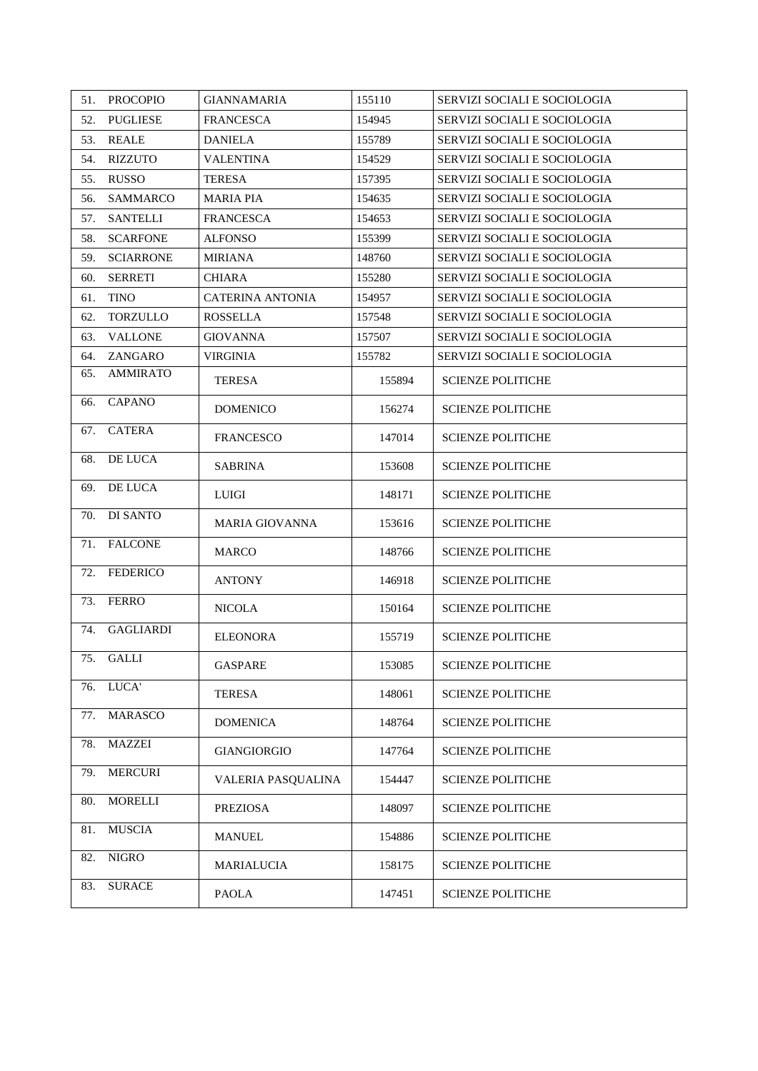| 51. | <b>PROCOPIO</b>  | <b>GIANNAMARIA</b>      | 155110 | SERVIZI SOCIALI E SOCIOLOGIA |
|-----|------------------|-------------------------|--------|------------------------------|
| 52. | <b>PUGLIESE</b>  | <b>FRANCESCA</b>        | 154945 | SERVIZI SOCIALI E SOCIOLOGIA |
| 53. | <b>REALE</b>     | <b>DANIELA</b>          | 155789 | SERVIZI SOCIALI E SOCIOLOGIA |
| 54. | <b>RIZZUTO</b>   | VALENTINA               | 154529 | SERVIZI SOCIALI E SOCIOLOGIA |
| 55. | <b>RUSSO</b>     | <b>TERESA</b>           | 157395 | SERVIZI SOCIALI E SOCIOLOGIA |
| 56. | <b>SAMMARCO</b>  | <b>MARIA PIA</b>        | 154635 | SERVIZI SOCIALI E SOCIOLOGIA |
| 57. | <b>SANTELLI</b>  | FRANCESCA               | 154653 | SERVIZI SOCIALI E SOCIOLOGIA |
| 58. | <b>SCARFONE</b>  | <b>ALFONSO</b>          | 155399 | SERVIZI SOCIALI E SOCIOLOGIA |
| 59. | <b>SCIARRONE</b> | MIRIANA                 | 148760 | SERVIZI SOCIALI E SOCIOLOGIA |
| 60. | <b>SERRETI</b>   | <b>CHIARA</b>           | 155280 | SERVIZI SOCIALI E SOCIOLOGIA |
| 61. | <b>TINO</b>      | <b>CATERINA ANTONIA</b> | 154957 | SERVIZI SOCIALI E SOCIOLOGIA |
| 62. | TORZULLO         | ROSSELLA                | 157548 | SERVIZI SOCIALI E SOCIOLOGIA |
| 63. | <b>VALLONE</b>   | <b>GIOVANNA</b>         | 157507 | SERVIZI SOCIALI E SOCIOLOGIA |
| 64. | ZANGARO          | <b>VIRGINIA</b>         | 155782 | SERVIZI SOCIALI E SOCIOLOGIA |
| 65. | <b>AMMIRATO</b>  | <b>TERESA</b>           | 155894 | <b>SCIENZE POLITICHE</b>     |
| 66. | <b>CAPANO</b>    | <b>DOMENICO</b>         | 156274 | <b>SCIENZE POLITICHE</b>     |
| 67. | <b>CATERA</b>    | <b>FRANCESCO</b>        | 147014 | <b>SCIENZE POLITICHE</b>     |
| 68. | DE LUCA          | <b>SABRINA</b>          | 153608 | <b>SCIENZE POLITICHE</b>     |
| 69. | DE LUCA          | <b>LUIGI</b>            | 148171 | <b>SCIENZE POLITICHE</b>     |
| 70. | DI SANTO         | <b>MARIA GIOVANNA</b>   | 153616 | <b>SCIENZE POLITICHE</b>     |
| 71. | <b>FALCONE</b>   | <b>MARCO</b>            | 148766 | <b>SCIENZE POLITICHE</b>     |
| 72. | <b>FEDERICO</b>  | <b>ANTONY</b>           | 146918 | <b>SCIENZE POLITICHE</b>     |
| 73. | <b>FERRO</b>     | <b>NICOLA</b>           | 150164 | <b>SCIENZE POLITICHE</b>     |
| 74. | <b>GAGLIARDI</b> | <b>ELEONORA</b>         | 155719 | <b>SCIENZE POLITICHE</b>     |
| 75. | GALLI            | <b>GASPARE</b>          | 153085 | <b>SCIENZE POLITICHE</b>     |
| 76. | LUCA'            | <b>TERESA</b>           | 148061 | <b>SCIENZE POLITICHE</b>     |
| 77. | MARASCO          | <b>DOMENICA</b>         | 148764 | <b>SCIENZE POLITICHE</b>     |
| 78. | <b>MAZZEI</b>    | <b>GIANGIORGIO</b>      | 147764 | <b>SCIENZE POLITICHE</b>     |
| 79. | <b>MERCURI</b>   | VALERIA PASQUALINA      | 154447 | <b>SCIENZE POLITICHE</b>     |
| 80. | <b>MORELLI</b>   | <b>PREZIOSA</b>         | 148097 | <b>SCIENZE POLITICHE</b>     |
| 81. | <b>MUSCIA</b>    | <b>MANUEL</b>           | 154886 | <b>SCIENZE POLITICHE</b>     |
| 82. | <b>NIGRO</b>     | MARIALUCIA              | 158175 | <b>SCIENZE POLITICHE</b>     |
| 83. | <b>SURACE</b>    | <b>PAOLA</b>            | 147451 | <b>SCIENZE POLITICHE</b>     |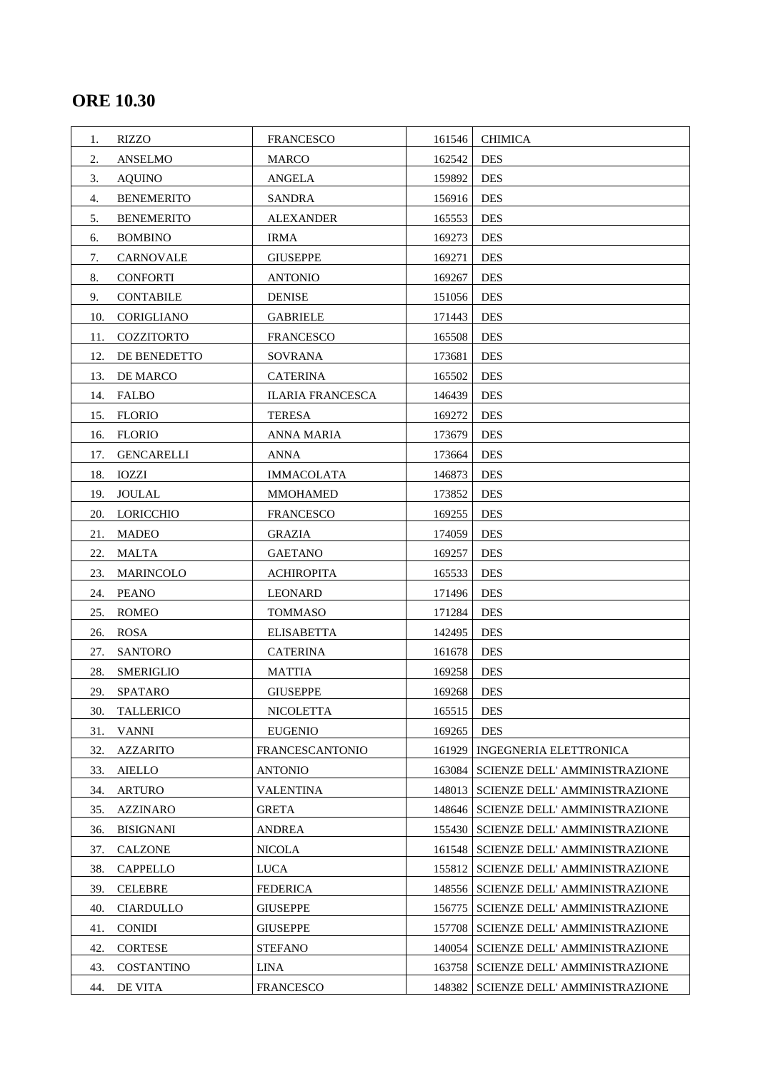# **ORE 10.30**

| <b>RIZZO</b><br>1.       | <b>FRANCESCO</b>        | 161546 | <b>CHIMICA</b>                       |
|--------------------------|-------------------------|--------|--------------------------------------|
| 2.<br><b>ANSELMO</b>     | <b>MARCO</b>            | 162542 | <b>DES</b>                           |
| 3.<br><b>AQUINO</b>      | <b>ANGELA</b>           | 159892 | <b>DES</b>                           |
| <b>BENEMERITO</b><br>4.  | <b>SANDRA</b>           | 156916 | <b>DES</b>                           |
| <b>BENEMERITO</b><br>5.  | <b>ALEXANDER</b>        | 165553 | <b>DES</b>                           |
| <b>BOMBINO</b><br>6.     | <b>IRMA</b>             | 169273 | <b>DES</b>                           |
| 7.<br>CARNOVALE          | <b>GIUSEPPE</b>         | 169271 | <b>DES</b>                           |
| 8.<br><b>CONFORTI</b>    | <b>ANTONIO</b>          | 169267 | <b>DES</b>                           |
| 9.<br><b>CONTABILE</b>   | <b>DENISE</b>           | 151056 | <b>DES</b>                           |
| CORIGLIANO<br>10.        | <b>GABRIELE</b>         | 171443 | <b>DES</b>                           |
| COZZITORTO<br>11.        | <b>FRANCESCO</b>        | 165508 | <b>DES</b>                           |
| DE BENEDETTO<br>12.      | SOVRANA                 | 173681 | <b>DES</b>                           |
| DE MARCO<br>13.          | <b>CATERINA</b>         | 165502 | <b>DES</b>                           |
| 14. FALBO                | <b>ILARIA FRANCESCA</b> | 146439 | <b>DES</b>                           |
| 15. FLORIO               | <b>TERESA</b>           | 169272 | <b>DES</b>                           |
| FLORIO<br>16.            | <b>ANNA MARIA</b>       | 173679 | <b>DES</b>                           |
| <b>GENCARELLI</b><br>17. | <b>ANNA</b>             | 173664 | <b>DES</b>                           |
| 18.<br>IOZZI             | <b>IMMACOLATA</b>       | 146873 | <b>DES</b>                           |
| <b>JOULAL</b><br>19.     | <b>MMOHAMED</b>         | 173852 | <b>DES</b>                           |
| LORICCHIO<br>20.         | <b>FRANCESCO</b>        | 169255 | <b>DES</b>                           |
| 21.<br><b>MADEO</b>      | <b>GRAZIA</b>           | 174059 | DES                                  |
| <b>MALTA</b><br>22.      | <b>GAETANO</b>          | 169257 | <b>DES</b>                           |
| MARINCOLO<br>23.         | <b>ACHIROPITA</b>       | 165533 | <b>DES</b>                           |
| <b>PEANO</b><br>24.      | <b>LEONARD</b>          | 171496 | <b>DES</b>                           |
| <b>ROMEO</b><br>25.      | <b>TOMMASO</b>          | 171284 | <b>DES</b>                           |
| <b>ROSA</b><br>26.       | <b>ELISABETTA</b>       | 142495 | <b>DES</b>                           |
| <b>SANTORO</b><br>27.    | <b>CATERINA</b>         | 161678 | <b>DES</b>                           |
| <b>SMERIGLIO</b><br>28.  | <b>MATTIA</b>           | 169258 | <b>DES</b>                           |
| <b>SPATARO</b><br>29.    | <b>GIUSEPPE</b>         | 169268 | <b>DES</b>                           |
| 30.<br><b>TALLERICO</b>  | <b>NICOLETTA</b>        | 165515 | <b>DES</b>                           |
| <b>VANNI</b><br>31.      | <b>EUGENIO</b>          | 169265 | <b>DES</b>                           |
| 32.<br><b>AZZARITO</b>   | <b>FRANCESCANTONIO</b>  | 161929 | <b>INGEGNERIA ELETTRONICA</b>        |
| 33.<br><b>AIELLO</b>     | ANTONIO                 | 163084 | <b>SCIENZE DELL' AMMINISTRAZIONE</b> |
| <b>ARTURO</b><br>34.     | <b>VALENTINA</b>        | 148013 | SCIENZE DELL' AMMINISTRAZIONE        |
| 35.<br><b>AZZINARO</b>   | <b>GRETA</b>            | 148646 | <b>SCIENZE DELL' AMMINISTRAZIONE</b> |
| 36.<br><b>BISIGNANI</b>  | ANDREA                  | 155430 | <b>SCIENZE DELL' AMMINISTRAZIONE</b> |
| 37.<br><b>CALZONE</b>    | <b>NICOLA</b>           | 161548 | SCIENZE DELL' AMMINISTRAZIONE        |
| <b>CAPPELLO</b><br>38.   | <b>LUCA</b>             | 155812 | <b>SCIENZE DELL' AMMINISTRAZIONE</b> |
| <b>CELEBRE</b><br>39.    | <b>FEDERICA</b>         | 148556 | SCIENZE DELL' AMMINISTRAZIONE        |
| 40.<br><b>CIARDULLO</b>  | <b>GIUSEPPE</b>         | 156775 | SCIENZE DELL' AMMINISTRAZIONE        |
| <b>CONIDI</b><br>41.     | <b>GIUSEPPE</b>         | 157708 | SCIENZE DELL' AMMINISTRAZIONE        |
| <b>CORTESE</b><br>42.    | <b>STEFANO</b>          | 140054 | <b>SCIENZE DELL' AMMINISTRAZIONE</b> |
| 43.<br><b>COSTANTINO</b> | <b>LINA</b>             | 163758 | SCIENZE DELL' AMMINISTRAZIONE        |
| 44.<br>DE VITA           | <b>FRANCESCO</b>        | 148382 | SCIENZE DELL' AMMINISTRAZIONE        |